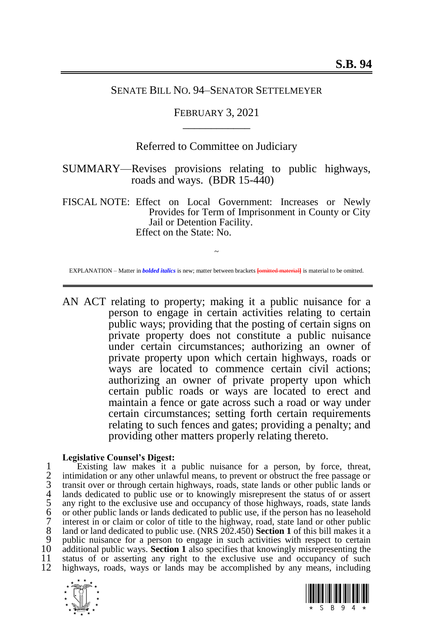## SENATE BILL NO. 94–SENATOR SETTELMEYER

# FEBRUARY 3, 2021 \_\_\_\_\_\_\_\_\_\_\_\_

# Referred to Committee on Judiciary

SUMMARY—Revises provisions relating to public highways, roads and ways. (BDR 15-440)

FISCAL NOTE: Effect on Local Government: Increases or Newly Provides for Term of Imprisonment in County or City Jail or Detention Facility. Effect on the State: No.

~ EXPLANATION – Matter in *bolded italics* is new; matter between brackets **[**omitted material**]** is material to be omitted.

AN ACT relating to property; making it a public nuisance for a person to engage in certain activities relating to certain public ways; providing that the posting of certain signs on private property does not constitute a public nuisance under certain circumstances; authorizing an owner of private property upon which certain highways, roads or ways are located to commence certain civil actions; authorizing an owner of private property upon which certain public roads or ways are located to erect and maintain a fence or gate across such a road or way under certain circumstances; setting forth certain requirements relating to such fences and gates; providing a penalty; and providing other matters properly relating thereto.

#### **Legislative Counsel's Digest:**

1 Existing law makes it a public nuisance for a person, by force, threat,<br>2 intimidation or any other unlawful means, to prevent or obstruct the free passage or<br>3 transit over or through certain highways, roads, state land intimidation or any other unlawful means, to prevent or obstruct the free passage or 3 transit over or through certain highways, roads, state lands or other public lands or lands dedicated to public use or to knowingly misrepresent the status of or assert any right to the exclusive use and occupancy of those highways, roads, state lands 6 or other public lands or lands dedicated to public use, if the person has no leasehold 7 interest in or claim or color of title to the highway, road, state land or other public  $\frac{8}{100}$  land or land dedicated to public use. (NRS 202.450) **Section 1** of this bill makes it a 8 land or land dedicated to public use. (NRS 202.450) **Sectio[n 1](#page-1-0)** of this bill makes it a<br>9 public nuisance for a person to engage in such activities with respect to certain 9 public nuisance for a person to engage in such activities with respect to certain  $10$  additional public ways. **Section 1** also specifies that knowingly misrepresenting the 10 additional public ways. **Section [1](#page-1-0)** also specifies that knowingly misrepresenting the 11 status of or asserting any right to the exclusive use and occupancy of such 12 highways roads ways or lands may be accomplished by any means including highways, roads, ways or lands may be accomplished by any means, including



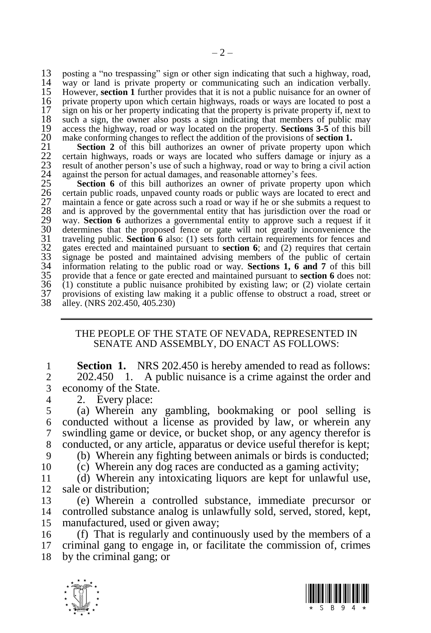13 posting a "no trespassing" sign or other sign indicating that such a highway, road,<br>14 way or land is private property or communicating such an indication verbally 14 way or land is private property or communicating such an indication verbally.<br>15 However, **section 1** further provides that it is not a public nuisance for an owner of 15 However, **section [1](#page-1-0)** further provides that it is not a public nuisance for an owner of 16 private property upon which certain highways, roads or ways are located to post a 17 sign on his or her property indicating that the property is private property if, next to 17 sign on his or her property indicating that the property is private property if, next to 18 such a sign, the owner also posts a sign indicating that members of public may 18 such a sign, the owner also posts a sign indicating that members of public may<br>19 access the highway, road or way located on the property. **Sections 3-5** of this bill 19 access the highway, road or way located on the property. **Sections** [3-](#page-4-0)[5](#page-5-0) of this bill 20 make conforming changes to reflect the addition of the provisions of **section 1.** 

**Section [2](#page-4-1)** of this bill authorizes an owner of private property upon which 22 certain highways, roads or ways are located who suffers damage or injury as a 23 result of another person's use of such a highway, road or way to bring a civil action against the person for actual damages, and reasonable attorney's fees.

20 make conforming changes to reflect the addition of the provisions of **section [1.](#page-1-0)**<br>21 **Section 2** of this bill authorizes an owner of private property upon w<br>22 certain highways, roads or ways are located who suffers dam **Section [6](#page-5-1)** of this bill authorizes an owner of private property upon which 26 certain public roads, unpaved county roads or public ways are located to erect and maintain a fence or gate across such a road or way if he or she submits a request to and is approved by the governmental entity that has jurisdiction over the road or 29 way. **Section [6](#page-5-1)** authorizes a governmental entity to approve such a request if it 30 determines that the proposed fence or gate will not greatly inconvenience the traveling public. **Section 6** also: (1) sets forth certain requirements for fences and gates erected and maintained pursuant to **section 6**; traveling public. **Section** [6](#page-5-1) also: (1) sets forth certain requirements for fences and 32 gates erected and maintained pursuant to **section [6](#page-5-1)**; and (2) requires that certain signage be posted and maintained advising members of the public of certain 34 information relating to the public road or way. **Sections [1,](#page-1-0) [6](#page-5-1) and [7](#page-6-0)** of this bill 35 provide that a fence or gate erected and maintained pursuant to **sectio[n 6](#page-5-1)** does not: 36 (1) constitute a public nuisance prohibited by existing law; or (2) violate certain 37 provisions of existing law making it a public offense to obstruct a road, street or 38 alley (NRS 202 450 405 230) alley. (NRS  $202.450, 405.230$ )

## <span id="page-1-0"></span>THE PEOPLE OF THE STATE OF NEVADA, REPRESENTED IN SENATE AND ASSEMBLY, DO ENACT AS FOLLOWS:

**1 Section 1.** NRS 202.450 is hereby amended to read as follows:<br>2 202.450 1. A public nuisance is a crime against the order and 2 202.450 1. A public nuisance is a crime against the order and 3 economy of the State.

4 2. Every place:<br>5 (a) Wherein any (a) Wherein any gambling, bookmaking or pool selling is conducted without a license as provided by law, or wherein any swindling game or device, or bucket shop, or any agency therefor is conducted, or any article, apparatus or device useful therefor is kept;

9 (b) Wherein any fighting between animals or birds is conducted;

10 (c) Wherein any dog races are conducted as a gaming activity;

11 (d) Wherein any intoxicating liquors are kept for unlawful use, 12 sale or distribution;

13 (e) Wherein a controlled substance, immediate precursor or 14 controlled substance analog is unlawfully sold, served, stored, kept, 15 manufactured, used or given away;

16 (f) That is regularly and continuously used by the members of a 17 criminal gang to engage in, or facilitate the commission of, crimes 18 by the criminal gang; or



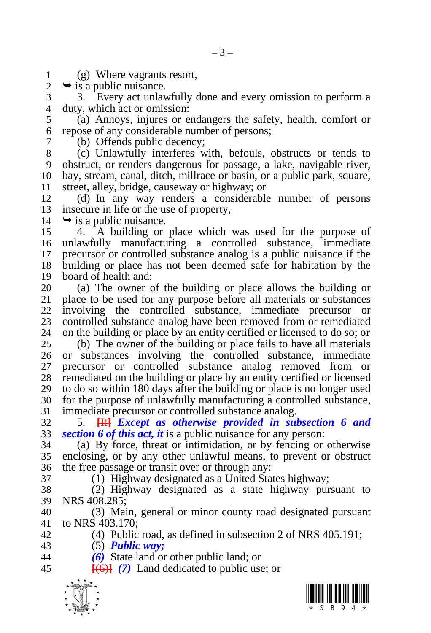1 (g) Where vagrants resort,<br>2  $\rightarrow$  is a public nuisance.

 $\rightarrow$  is a public nuisance.

 3. Every act unlawfully done and every omission to perform a duty, which act or omission:

 (a) Annoys, injures or endangers the safety, health, comfort or repose of any considerable number of persons;

 (b) Offends public decency; (c) Unlawfully interferes with, befouls, obstructs or tends to obstruct, or renders dangerous for passage, a lake, navigable river, bay, stream, canal, ditch, millrace or basin, or a public park, square, street, alley, bridge, causeway or highway; or

 (d) In any way renders a considerable number of persons insecure in life or the use of property,

 $14 \rightarrow$  is a public nuisance.

 4. A building or place which was used for the purpose of unlawfully manufacturing a controlled substance, immediate precursor or controlled substance analog is a public nuisance if the building or place has not been deemed safe for habitation by the board of health and:

 (a) The owner of the building or place allows the building or place to be used for any purpose before all materials or substances involving the controlled substance, immediate precursor or 23 controlled substance analog have been removed from or remediated 24 on the building or place by an entity certified or licensed to do so; or on the building or place by an entity certified or licensed to do so; or

 (b) The owner of the building or place fails to have all materials or substances involving the controlled substance, immediate precursor or controlled substance analog removed from or 28 remediated on the building or place by an entity certified or licensed to do so within 180 days after the building or place is no longer used to do so within 180 days after the building or place is no longer used for the purpose of unlawfully manufacturing a controlled substance, immediate precursor or controlled substance analog.

 5. **[**It**]** *Except as otherwise provided in subsection 6 and sectio[n 6](#page-5-1) of this act, it* is a public nuisance for any person:

 (a) By force, threat or intimidation, or by fencing or otherwise enclosing, or by any other unlawful means, to prevent or obstruct the free passage or transit over or through any:

(1) Highway designated as a United States highway;

 (2) Highway designated as a state highway pursuant to NRS 408.285;

 (3) Main, general or minor county road designated pursuant to NRS 403.170;

(4) Public road, as defined in subsection 2 of NRS 405.191;

- (5) *Public way;*
- *(6)* State land or other public land; or

**[**(6)**]** *(7)* Land dedicated to public use; or



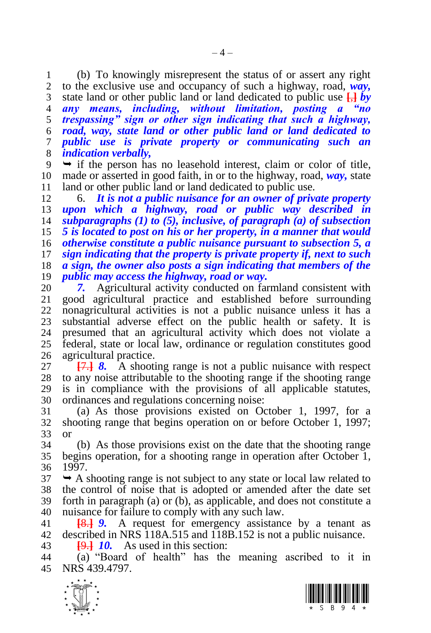1 (b) To knowingly misrepresent the status of or assert any right 2 to the exclusive use and occupancy of such a highway road,  $way$ . to the exclusive use and occupancy of such a highway, road, *way,*  state land or other public land or land dedicated to public use **[**,**]** *by any means, including, without limitation, posting a "no trespassing" sign or other sign indicating that such a highway, road, way, state land or other public land or land dedicated to public use is private property or communicating such an indication verbally,*

 $9 \rightarrow$  if the person has no leasehold interest, claim or color of title, made or asserted in good faith, in or to the highway, road, *way,* state 11 land or other public land or land dedicated to public use.<br>12 6. **It is not a public puisance for an owner of priv** 

 6. *It is not a public nuisance for an owner of private property upon which a highway, road or public way described in subparagraphs (1) to (5), inclusive, of paragraph (a) of subsection 5 is located to post on his or her property, in a manner that would otherwise constitute a public nuisance pursuant to subsection 5, a sign indicating that the property is private property if, next to such a sign, the owner also posts a sign indicating that members of the public may access the highway, road or way.*

 *7.* Agricultural activity conducted on farmland consistent with good agricultural practice and established before surrounding nonagricultural activities is not a public nuisance unless it has a substantial adverse effect on the public health or safety. It is presumed that an agricultural activity which does not violate a federal, state or local law, ordinance or regulation constitutes good agricultural practice.

 **[**7.**]** *8.* A shooting range is not a public nuisance with respect to any noise attributable to the shooting range if the shooting range is in compliance with the provisions of all applicable statutes, ordinances and regulations concerning noise:

 (a) As those provisions existed on October 1, 1997, for a shooting range that begins operation on or before October 1, 1997; or

 (b) As those provisions exist on the date that the shooting range begins operation, for a shooting range in operation after October 1, 1997.

 $37 \rightarrow A$  shooting range is not subject to any state or local law related to the control of noise that is adopted or amended after the date set forth in paragraph (a) or (b), as applicable, and does not constitute a nuisance for failure to comply with any such law.

 **[**8.**]** *9.* A request for emergency assistance by a tenant as described in NRS 118A.515 and 118B.152 is not a public nuisance.

**[**9.**]** *10.* As used in this section:

 (a) "Board of health" has the meaning ascribed to it in NRS 439.4797.



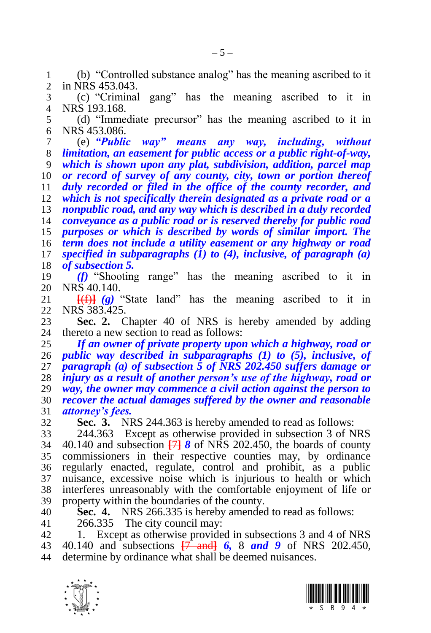(b) "Controlled substance analog" has the meaning ascribed to it in NRS 453.043.

 (c) "Criminal gang" has the meaning ascribed to it in NRS 193.168.

 (d) "Immediate precursor" has the meaning ascribed to it in NRS 453.086.

 (e) *"Public way" means any way, including, without limitation, an easement for public access or a public right-of-way, which is shown upon any plat, subdivision, addition, parcel map* 

*or record of survey of any county, city, town or portion thereof* 

*duly recorded or filed in the office of the county recorder, and* 

 *which is not specifically therein designated as a private road or a nonpublic road, and any way which is described in a duly recorded* 

*conveyance as a public road or is reserved thereby for public road* 

*purposes or which is described by words of similar import. The* 

*term does not include a utility easement or any highway or road* 

*specified in subparagraphs (1) to (4), inclusive, of paragraph (a)* 

*of subsection 5.*

 *(f)* "Shooting range" has the meaning ascribed to it in 20 NRS 40.140.<br>21 <del>[(f)]</del> (g)

 $\frac{1}{2}$  (g) "State land" has the meaning ascribed to it in NRS 383.425.

<span id="page-4-1"></span>**Sec. 2.** Chapter 40 of NRS is hereby amended by adding thereto a new section to read as follows: thereto a new section to read as follows:

 *If an owner of private property upon which a highway, road or public way described in subparagraphs (1) to (5), inclusive, of paragraph (a) of subsection 5 of NRS 202.450 suffers damage or injury as a result of another person's use of the highway, road or way, the owner may commence a civil action against the person to recover the actual damages suffered by the owner and reasonable attorney's fees.*

<span id="page-4-0"></span>**Sec. 3.** NRS 244.363 is hereby amended to read as follows:

 244.363 Except as otherwise provided in subsection 3 of NRS 40.140 and subsection **[**7**]** *8* of NRS 202.450, the boards of county commissioners in their respective counties may, by ordinance regularly enacted, regulate, control and prohibit, as a public nuisance, excessive noise which is injurious to health or which interferes unreasonably with the comfortable enjoyment of life or property within the boundaries of the county.

 **Sec. 4.** NRS 266.335 is hereby amended to read as follows: 266.335 The city council may:

 1. Except as otherwise provided in subsections 3 and 4 of NRS 40.140 and subsections **[**7 and**]** *6,* 8 *and 9* of NRS 202.450, determine by ordinance what shall be deemed nuisances.



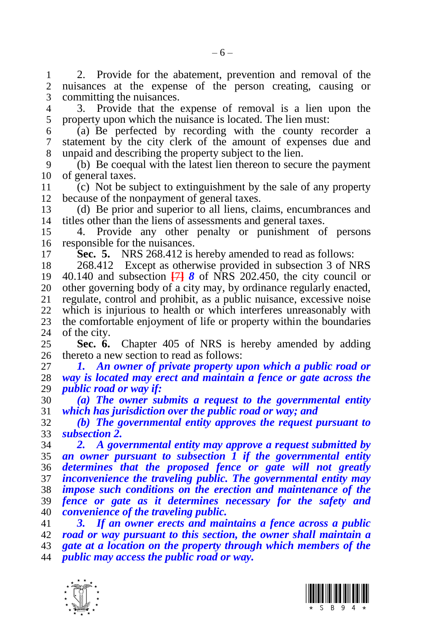1 2. Provide for the abatement, prevention and removal of the 2 nuisances at the expense of the person creating causing or nuisances at the expense of the person creating, causing or committing the nuisances.

 3. Provide that the expense of removal is a lien upon the property upon which the nuisance is located. The lien must:

 (a) Be perfected by recording with the county recorder a statement by the city clerk of the amount of expenses due and unpaid and describing the property subject to the lien.

 (b) Be coequal with the latest lien thereon to secure the payment of general taxes.

11 (c) Not be subject to extinguishment by the sale of any property<br>12 because of the nonpayment of general taxes. because of the nonpayment of general taxes.

 (d) Be prior and superior to all liens, claims, encumbrances and titles other than the liens of assessments and general taxes.

 4. Provide any other penalty or punishment of persons responsible for the nuisances.

<span id="page-5-0"></span>**Sec. 5.** NRS 268.412 is hereby amended to read as follows:

 268.412 Except as otherwise provided in subsection 3 of NRS 40.140 and subsection **[**7**]** *8* of NRS 202.450, the city council or 20 other governing body of a city may, by ordinance regularly enacted, 21 regulate, control and prohibit, as a public nuisance, excessive noise regulate, control and prohibit, as a public nuisance, excessive noise which is injurious to health or which interferes unreasonably with 23 the comfortable enjoyment of life or property within the boundaries 24 of the city. of the city.

<span id="page-5-1"></span> **Sec. 6.** Chapter 405 of NRS is hereby amended by adding thereto a new section to read as follows:

 *1. An owner of private property upon which a public road or way is located may erect and maintain a fence or gate across the public road or way if:*

 *(a) The owner submits a request to the governmental entity which has jurisdiction over the public road or way; and*

 *(b) The governmental entity approves the request pursuant to subsection 2.* 

 *2. A governmental entity may approve a request submitted by an owner pursuant to subsection 1 if the governmental entity determines that the proposed fence or gate will not greatly inconvenience the traveling public. The governmental entity may impose such conditions on the erection and maintenance of the fence or gate as it determines necessary for the safety and convenience of the traveling public.* 

 *3. If an owner erects and maintains a fence across a public road or way pursuant to this section, the owner shall maintain a gate at a location on the property through which members of the public may access the public road or way.*



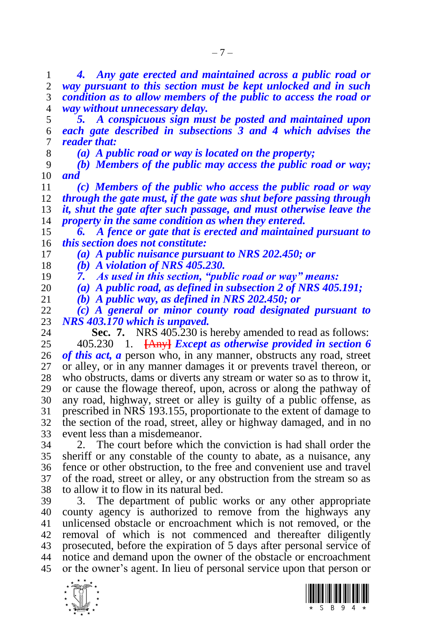*4. Any gate erected and maintained across a public road or way pursuant to this section must be kept unlocked and in such condition as to allow members of the public to access the road or way without unnecessary delay.*

 *5. A conspicuous sign must be posted and maintained upon each gate described in subsections 3 and 4 which advises the reader that:*

*(a) A public road or way is located on the property;*

 *(b) Members of the public may access the public road or way; and*

 *(c) Members of the public who access the public road or way through the gate must, if the gate was shut before passing through it, shut the gate after such passage, and must otherwise leave the property in the same condition as when they entered.*

 *6. A fence or gate that is erected and maintained pursuant to this section does not constitute:*

*(a) A public nuisance pursuant to NRS 202.450; or* 

*(b) A violation of NRS 405.230.*

*7. As used in this section, "public road or way" means:*

*(a) A public road, as defined in subsection 2 of NRS 405.191;* 

*(b) A public way, as defined in NRS 202.450; or*

 *(c) A general or minor county road designated pursuant to NRS 403.170 which is unpaved.*

<span id="page-6-0"></span>**Sec. 7.** NRS 405.230 is hereby amended to read as follows: 405.230 1. **[**Any**]** *Except as otherwise provided in section [6](#page-5-1) of this act, a* person who, in any manner, obstructs any road, street or alley, or in any manner damages it or prevents travel thereon, or who obstructs, dams or diverts any stream or water so as to throw it, or cause the flowage thereof, upon, across or along the pathway of any road, highway, street or alley is guilty of a public offense, as prescribed in NRS 193.155, proportionate to the extent of damage to the section of the road, street, alley or highway damaged, and in no event less than a misdemeanor.

 2. The court before which the conviction is had shall order the sheriff or any constable of the county to abate, as a nuisance, any fence or other obstruction, to the free and convenient use and travel of the road, street or alley, or any obstruction from the stream so as to allow it to flow in its natural bed.

 3. The department of public works or any other appropriate county agency is authorized to remove from the highways any unlicensed obstacle or encroachment which is not removed, or the removal of which is not commenced and thereafter diligently prosecuted, before the expiration of 5 days after personal service of notice and demand upon the owner of the obstacle or encroachment or the owner's agent. In lieu of personal service upon that person or